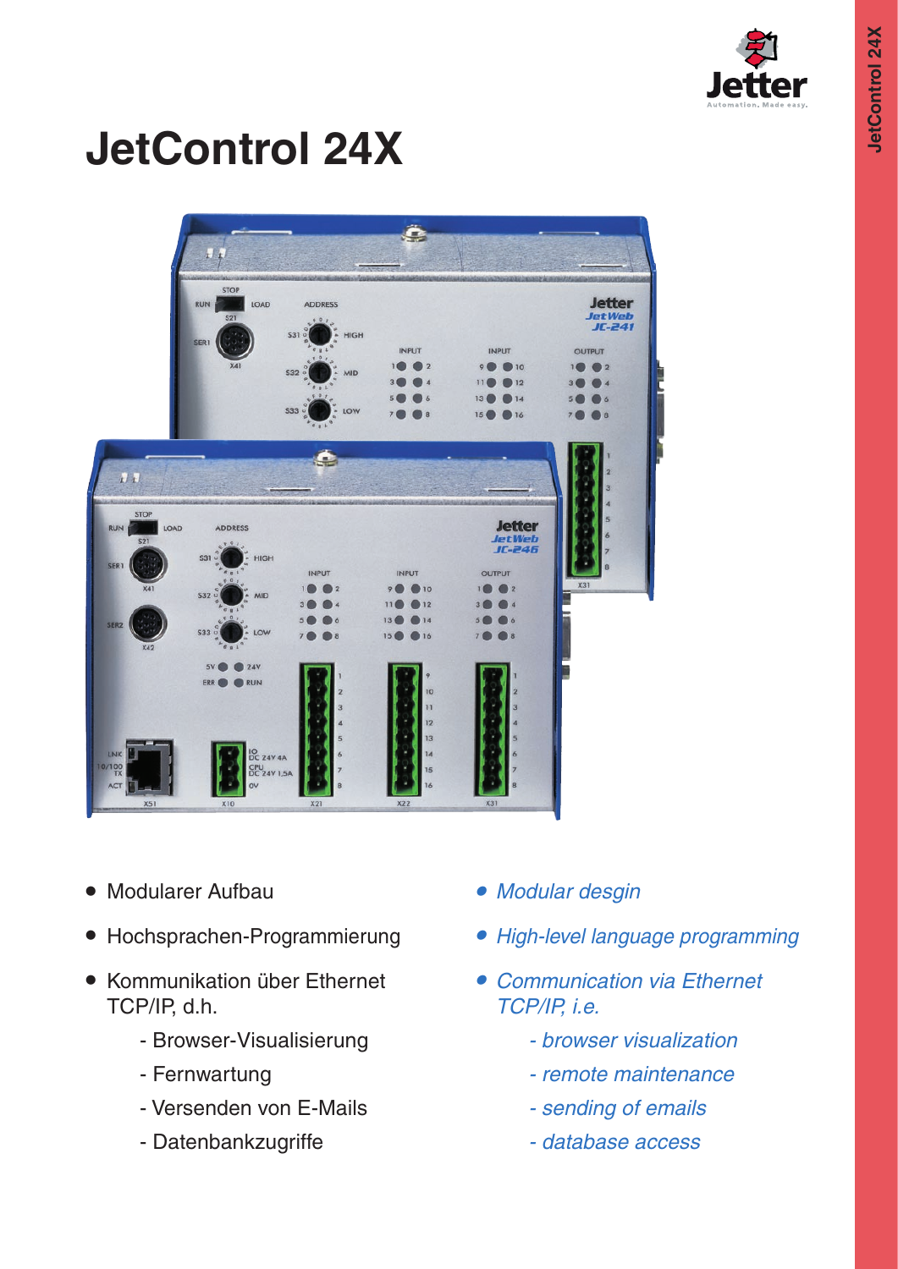

# **JetControl 24X**

|                                                                          | Ы                                                                                              | Ä                                                                                                             |                                                                                                                           |                                                                                                                     |                                                                                                                                                   |
|--------------------------------------------------------------------------|------------------------------------------------------------------------------------------------|---------------------------------------------------------------------------------------------------------------|---------------------------------------------------------------------------------------------------------------------------|---------------------------------------------------------------------------------------------------------------------|---------------------------------------------------------------------------------------------------------------------------------------------------|
|                                                                          | <b>STOP</b><br><b>RUN</b><br>LOAD<br><b>S21</b><br>SER <sub>1</sub><br>X41                     | <b>ADDRESS</b><br>$\begin{array}{c} 0 \\ 1 \end{array}$<br>S31°<br>- HIGH<br>S32<br><b>MID</b><br>\$33<br>LOW | INPUT<br>1 <sup>o</sup><br>$\bullet$ 2<br>3 <sup>1</sup><br>$\overline{A}$<br>5(<br>6<br>7 <sub>0</sub><br>$\overline{8}$ | <b>INPUT</b><br>90010<br>11<br>$12$<br>13 <sup>o</sup><br>()14<br>15 <sup>o</sup><br>16                             | <b>Jetter</b><br><b>JetWeb</b><br>$JE-241$<br><b>OUTPUT</b><br>1 <sup>o</sup><br>$2$<br>3 <sup>0</sup><br>$14$<br>5(<br>6<br>7 <sub>0</sub><br>●8 |
| H<br><b>STOP</b><br><b>RUN</b><br>LOAD<br><b>S21</b><br>SER <sub>1</sub> | <b>ADDRESS</b><br>S31°<br>HIGH                                                                 | $\blacksquare$<br><b>INPUT</b>                                                                                | <b>INPUT</b>                                                                                                              | <b>Jetter</b><br><b>JetWeb</b><br><b>JC-246</b><br><b>OUTPUT</b>                                                    | я<br>5<br>X31                                                                                                                                     |
| X41<br>SER <sub>2</sub><br>X42                                           | S32<br><b>MID</b><br>$$333^\circ$<br>LOW<br>5V (<br>24V                                        | $1\bigcirc$<br>$\bigcirc$ 2<br>3 <sup>0</sup><br>14<br>5 <sub>6</sub><br>) 6<br>7 <sub>0</sub><br> 8          | 90<br>$\bigcirc$ 10<br>11 <sup>°</sup><br>$\bigcirc$ 12<br>13 <sup>°</sup><br>14<br>15 <sup>o</sup><br><b>016</b>         | $\bigcirc$ 2<br>1 <sup>o</sup><br>3 <sub>0</sub><br>$4$<br>5 <sub>1</sub><br>6 <sup>1</sup><br> 8<br>7 <sub>0</sub> |                                                                                                                                                   |
| LNK<br>10/100<br>ACT<br>X51                                              | ERR O<br><b>RUN</b><br><b>IO</b><br>DC 24V 4A<br>CPU<br>DC 24V 1,5A<br>$\overline{\mathsf{v}}$ | X21                                                                                                           | 9<br>10<br>11<br>12<br>13<br>14<br>15<br>16<br>X22                                                                        |                                                                                                                     |                                                                                                                                                   |

- Modularer Aufbau
- Hochsprachen-Programmierung
- Kommunikation über Ethernet TCP/IP, d.h.
	- Browser-Visualisierung
	- Fernwartung
	- Versenden von E-Mails
	- Datenbankzugriffe
- *• Modular desgin*
- *• High-level language programming*
- *• Communication via Ethernet TCP/IP, i.e.*
	- *- browser visualization*
	- *- remote maintenance*
	- *- sending of emails*
	- *- database access*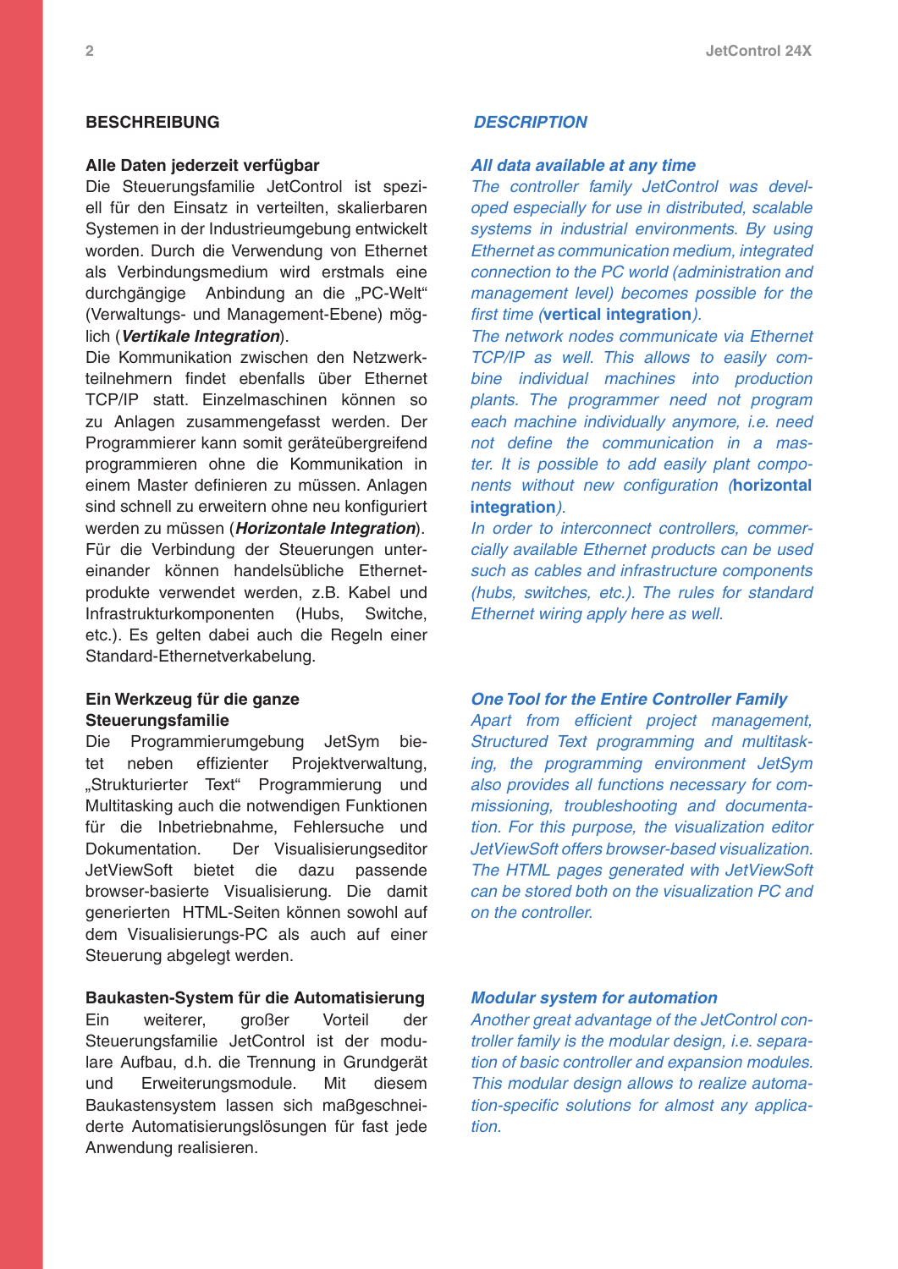#### **Beschreibung**

#### **Alle Daten jederzeit verfügbar**

Die Steuerungsfamilie JetControl ist speziell für den Einsatz in verteilten, skalierbaren Systemen in der Industrieumgebung entwickelt worden. Durch die Verwendung von Ethernet als Verbindungsmedium wird erstmals eine durchgängige Anbindung an die "PC-Welt" (Verwaltungs- und Management-Ebene) möglich (*Vertikale Integration*).

Die Kommunikation zwischen den Netzwerkteilnehmern findet ebenfalls über Ethernet TCP/IP statt. Einzelmaschinen können so zu Anlagen zusammengefasst werden. Der Programmierer kann somit geräteübergreifend programmieren ohne die Kommunikation in einem Master definieren zu müssen. Anlagen sind schnell zu erweitern ohne neu konfiguriert werden zu müssen (*Horizontale Integration*). Für die Verbindung der Steuerungen untereinander können handelsübliche Ethernetprodukte verwendet werden, z.B. Kabel und Infrastrukturkomponenten (Hubs, Switche, etc.). Es gelten dabei auch die Regeln einer Standard-Ethernetverkabelung.

#### **Ein Werkzeug für die ganze Steuerungsfamilie**

Die Programmierumgebung JetSym bietet neben effizienter Projektverwaltung, "Strukturierter Text" Programmierung und Multitasking auch die notwendigen Funktionen für die Inbetriebnahme, Fehlersuche und Dokumentation. Der Visualisierungseditor JetViewSoft bietet die dazu passende browser-basierte Visualisierung. Die damit generierten HTML-Seiten können sowohl auf dem Visualisierungs-PC als auch auf einer Steuerung abgelegt werden.

#### **Baukasten-System für die Automatisierung**

Ein weiterer, großer Vorteil der Steuerungsfamilie JetControl ist der modulare Aufbau, d.h. die Trennung in Grundgerät und Erweiterungsmodule. Mit diesem Baukastensystem lassen sich maßgeschneiderte Automatisierungslösungen für fast jede Anwendung realisieren.

#### *Description*

#### *All data available at any time*

*The controller family JetControl was developed especially for use in distributed, scalable systems in industrial environments. By using Ethernet as communication medium, integrated connection to the PC world (administration and management level) becomes possible for the first time (***vertical integration***).*

*The network nodes communicate via Ethernet TCP/IP as well. This allows to easily combine individual machines into production plants. The programmer need not program each machine individually anymore, i.e. need not define the communication in a master. It is possible to add easily plant components without new configuration (***horizontal integration***).*

*In order to interconnect controllers, commercially available Ethernet products can be used such as cables and infrastructure components (hubs, switches, etc.). The rules for standard Ethernet wiring apply here as well.*

#### *One Tool for the Entire Controller Family*

*Apart from efficient project management, Structured Text programming and multitasking, the programming environment JetSym also provides all functions necessary for commissioning, troubleshooting and documentation. For this purpose, the visualization editor JetViewSoft offers browser-based visualization. The HTML pages generated with JetViewSoft can be stored both on the visualization PC and on the controller.*

#### *Modular system for automation*

*Another great advantage of the JetControl controller family is the modular design, i.e. separation of basic controller and expansion modules. This modular design allows to realize automation-specific solutions for almost any application.*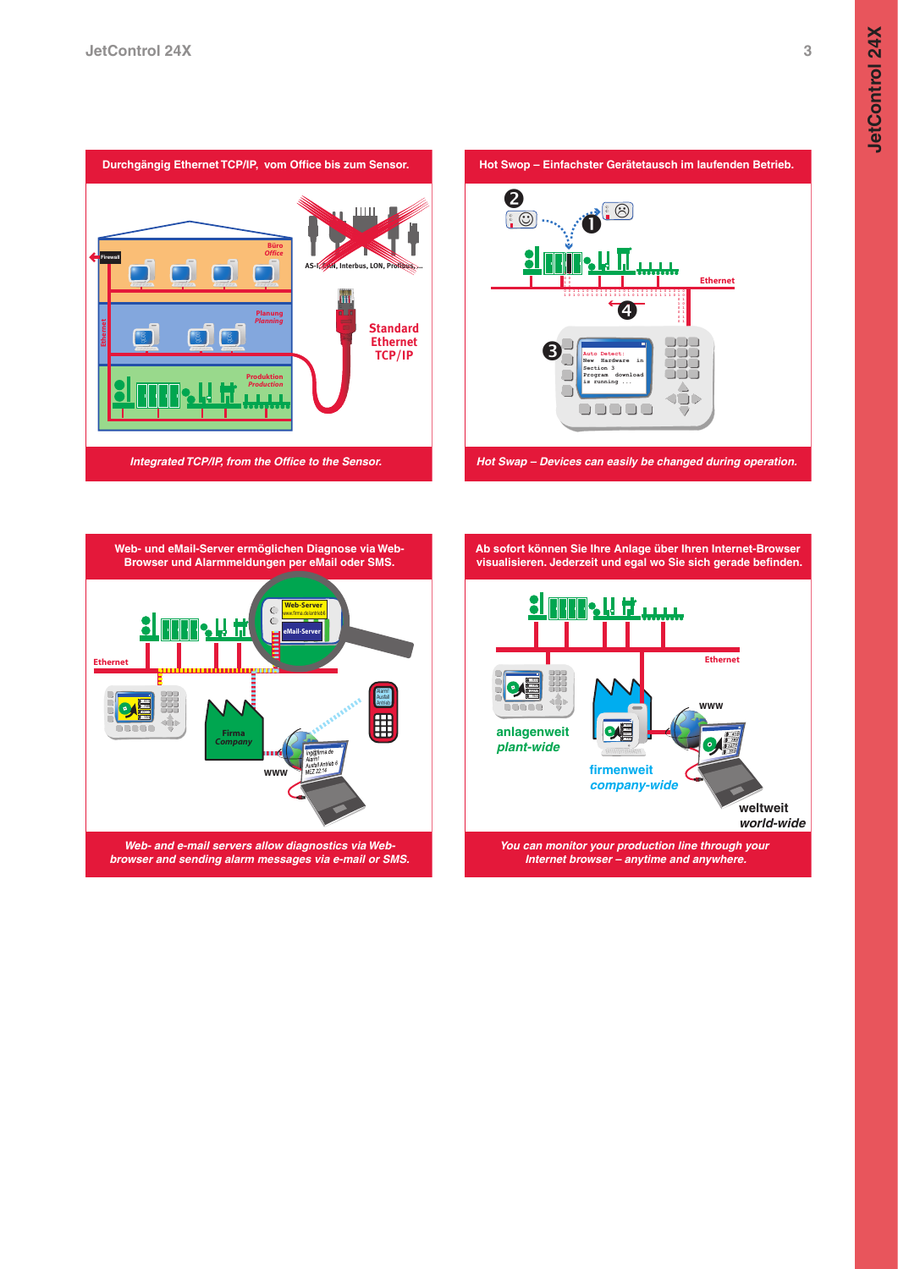







**Ab sofort können Sie Ihre Anlage über Ihren Internet-Browser visualisieren. Jederzeit und egal wo Sie sich gerade befinden.**

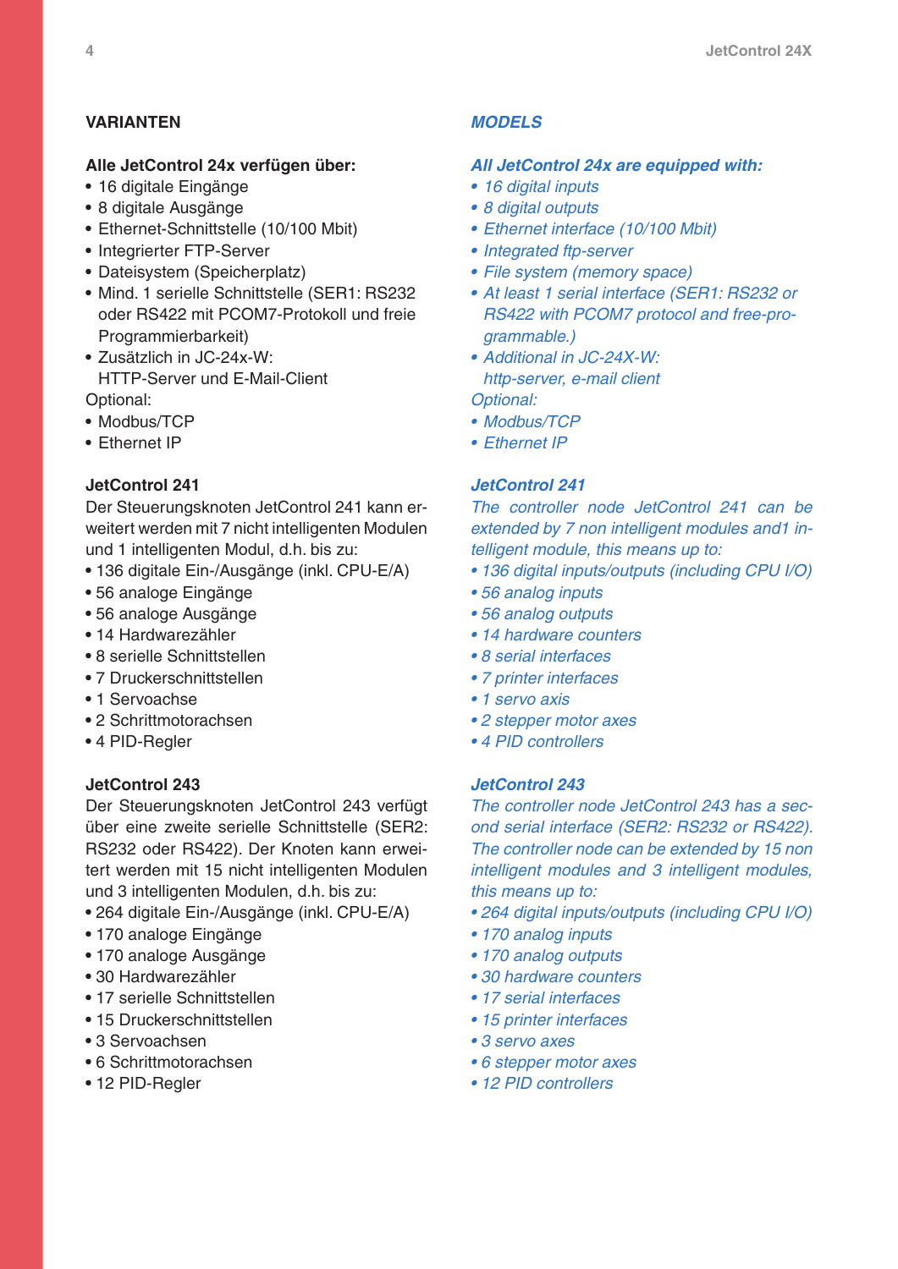# **Varianten**

### **Alle JetControl 24x verfügen über:**

- 16 digitale Eingänge
- 8 digitale Ausgänge
- Ethernet-Schnittstelle (10/100 Mbit)
- Integrierter FTP-Server
- Dateisystem (Speicherplatz)
- Mind. 1 serielle Schnittstelle (SER1: RS232 oder RS422 mit PCOM7-Protokoll und freie Programmierbarkeit)
- Zusätzlich in JC-24x-W: HTTP-Server und E-Mail-Client Optional:
- Modbus/TCP
- **Fthernet IP**

#### **JetControl 241**

Der Steuerungsknoten JetControl 241 kann erweitert werden mit 7 nicht intelligenten Modulen und 1 intelligenten Modul, d.h. bis zu:

- 136 digitale Ein-/Ausgänge (inkl. CPU-E/A)
- 56 analoge Eingänge
- 56 analoge Ausgänge
- 14 Hardwarezähler
- 8 serielle Schnittstellen
- 7 Druckerschnittstellen
- 1 Servoachse
- 2 Schrittmotorachsen
- 4 PID-Regler

## **JetControl 243**

Der Steuerungsknoten JetControl 243 verfügt über eine zweite serielle Schnittstelle (SER2: RS232 oder RS422). Der Knoten kann erweitert werden mit 15 nicht intelligenten Modulen und 3 intelligenten Modulen, d.h. bis zu:

- 264 digitale Ein-/Ausgänge (inkl. CPU-E/A)
- 170 analoge Eingänge
- 170 analoge Ausgänge
- 30 Hardwarezähler
- 17 serielle Schnittstellen
- 15 Druckerschnittstellen
- 3 Servoachsen
- 6 Schrittmotorachsen
- 12 PID-Regler

#### *Models*

#### *All JetControl 24x are equipped with:*

- *• 16 digital inputs*
- *• 8 digital outputs*
- *• Ethernet interface (10/100 Mbit)*
- *• Integrated ftp-server*
- *• File system (memory space)*
- *• At least 1 serial interface (SER1: RS232 or RS422 with PCOM7 protocol and free-programmable.)*
- *• Additional in JC-24X-W: http-server, e-mail client*
- *Optional:*
- *• Modbus/TCP*
- *• Ethernet IP*

#### *JetControl 241*

*The controller node JetControl 241 can be extended by 7 non intelligent modules and1 intelligent module, this means up to:*

- *• 136 digital inputs/outputs (including CPU I/O)*
- *• 56 analog inputs*
- *• 56 analog outputs*
- *• 14 hardware counters*
- *• 8 serial interfaces*
- *• 7 printer interfaces*
- *• 1 servo axis*
- *• 2 stepper motor axes*
- *• 4 PID controllers*

#### *JetControl 243*

*The controller node JetControl 243 has a second serial interface (SER2: RS232 or RS422). The controller node can be extended by 15 non intelligent modules and 3 intelligent modules, this means up to:*

- *• 264 digital inputs/outputs (including CPU I/O)*
- *• 170 analog inputs*
- *• 170 analog outputs*
- *• 30 hardware counters*
- *• 17 serial interfaces*
- *• 15 printer interfaces*
- *• 3 servo axes*
- *• 6 stepper motor axes*
- *• 12 PID controllers*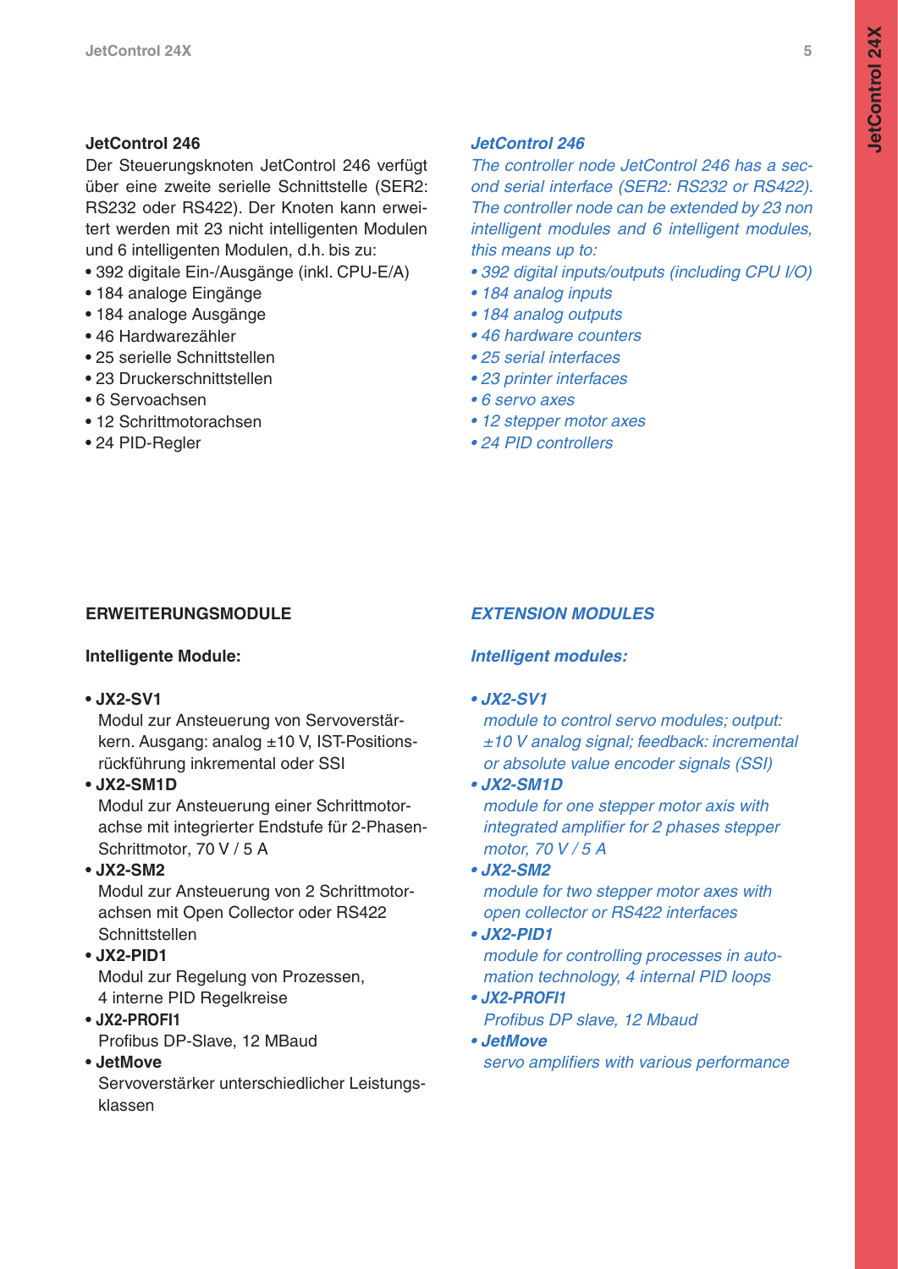# **JetControl 246**

Der Steuerungsknoten JetControl 246 verfügt über eine zweite serielle Schnittstelle (SER2: RS232 oder RS422). Der Knoten kann erweitert werden mit 23 nicht intelligenten Modulen und 6 intelligenten Modulen, d.h. bis zu:

- 392 digitale Ein-/Ausgänge (inkl. CPU-E/A)
- 184 analoge Eingänge
- 184 analoge Ausgänge
- 46 Hardwarezähler
- 25 serielle Schnittstellen
- 23 Druckerschnittstellen
- 6 Servoachsen
- 12 Schrittmotorachsen
- 24 PID-Regler

# *JetControl 246*

*The controller node JetControl 246 has a second serial interface (SER2: RS232 or RS422). The controller node can be extended by 23 non intelligent modules and 6 intelligent modules, this means up to:*

- *• 392 digital inputs/outputs (including CPU I/O)*
- *• 184 analog inputs*
- *• 184 analog outputs*
- *• 46 hardware counters*
- *• 25 serial interfaces*
- *• 23 printer interfaces*
- *• 6 servo axes*
- *• 12 stepper motor axes*
- *• 24 PID controllers*

# **Erweiterungsmodule**

# **Intelligente Module:**

**• JX2-SV1**

Modul zur Ansteuerung von Servoverstärkern. Ausgang: analog ±10 V, IST-Positionsrückführung inkremental oder SSI

# **• JX2-SM1D**

Modul zur Ansteuerung einer Schrittmotorachse mit integrierter Endstufe für 2-Phasen-Schrittmotor, 70 V / 5 A

# **• JX2-SM2**

Modul zur Ansteuerung von 2 Schrittmotorachsen mit Open Collector oder RS422 Schnittstellen

# **• JX2-PID1**

Modul zur Regelung von Prozessen, 4 interne PID Regelkreise

# **• JX2-PROFI1**

Profibus DP-Slave, 12 MBaud

# **• JetMove**

Servoverstärker unterschiedlicher Leistungsklassen

# *Extension Modules*

# *Intelligent modules:*

# *• JX2-SV1*

*module to control servo modules; output: ±10 V analog signal; feedback: incremental or absolute value encoder signals (SSI)*

# *• JX2-SM1D*

*module for one stepper motor axis with integrated amplifier for 2 phases stepper motor, 70 V / 5 A*

# *• JX2-SM2*

*module for two stepper motor axes with open collector or RS422 interfaces*

# *• JX2-PID1*

*module for controlling processes in automation technology, 4 internal PID loops*

- *JX2-PROFI1 Profibus DP slave, 12 Mbaud*
- *JetMove servo amplifiers with various performance*

**JetControl 24X**

**JetControl 24X**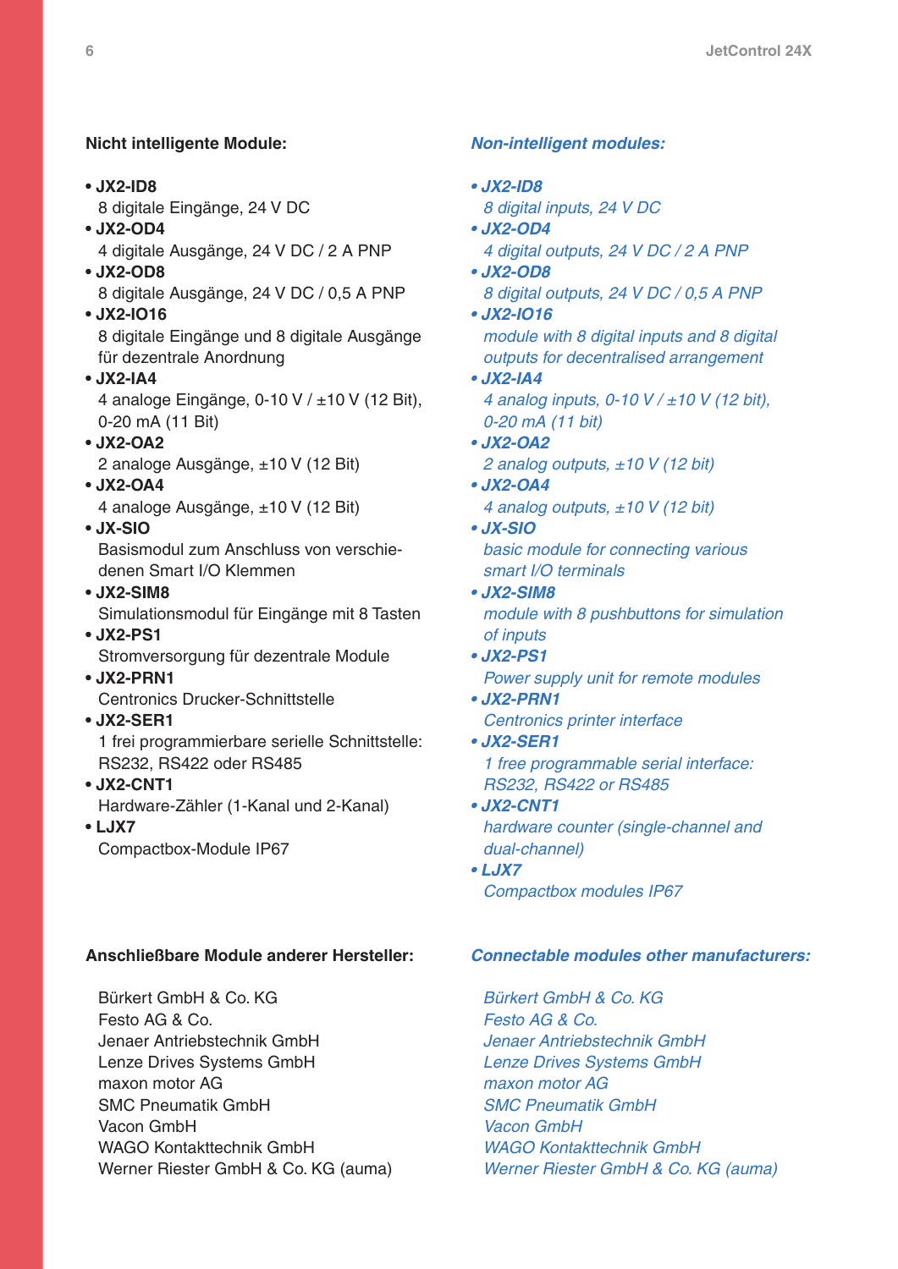# **Nicht intelligente Module:**

- **JX2-ID8**
	- 8 digitale Eingänge, 24 V DC
- **JX2-OD4**

4 digitale Ausgänge, 24 V DC / 2 A PNP

- **JX2-OD8** 8 digitale Ausgänge, 24 V DC / 0,5 A PNP
- **JX2-IO16** 8 digitale Eingänge und 8 digitale Ausgänge für dezentrale Anordnung
- **JX2-IA4**

4 analoge Eingänge, 0-10 V / ±10 V (12 Bit), 0-20 mA (11 Bit)

**• JX2-OA2**

2 analoge Ausgänge, ±10 V (12 Bit)

**• JX2-OA4**

4 analoge Ausgänge, ±10 V (12 Bit)

**• JX-SIO**

Basismodul zum Anschluss von verschiedenen Smart I/O Klemmen

- **JX2-SIM8** Simulationsmodul für Eingänge mit 8 Tasten
- **JX2-PS1**

Stromversorgung für dezentrale Module

**• JX2-PRN1**

Centronics Drucker-Schnittstelle

**• JX2-SER1**

1 frei programmierbare serielle Schnittstelle: RS232, RS422 oder RS485

**• JX2-CNT1**

Hardware-Zähler (1-Kanal und 2-Kanal)

**• LJX7**

Compactbox-Module IP67

## **Anschließbare Module anderer Hersteller:**

 Bürkert GmbH & Co. KG Festo AG & Co. Jenaer Antriebstechnik GmbH Lenze Drives Systems GmbH maxon motor AG SMC Pneumatik GmbH Vacon GmbH WAGO Kontakttechnik GmbH Werner Riester GmbH & Co. KG (auma)

### *Non-intelligent modules:*

- *JX2-ID8 8 digital inputs, 24 V DC • JX2-OD4*
- *4 digital outputs, 24 V DC / 2 A PNP*
- *JX2-OD8 8 digital outputs, 24 V DC / 0,5 A PNP*
- *JX2-IO16 module with 8 digital inputs and 8 digital outputs for decentralised arrangement*
- *JX2-IA4 4 analog inputs, 0-10 V / ±10 V (12 bit), 0-20 mA (11 bit)*
- *JX2-OA2 2 analog outputs, ±10 V (12 bit)*
- *JX2-OA4 4 analog outputs, ±10 V (12 bit)*
- *JX-SIO basic module for connecting various smart I/O terminals*
- *JX2-SIM8 module with 8 pushbuttons for simulation of inputs*
- *JX2-PS1 Power supply unit for remote modules*
- *JX2-PRN1 Centronics printer interface*
- *JX2-SER1 1 free programmable serial interface: RS232, RS422 or RS485*
- *JX2-CNT1 hardware counter (single-channel and dual-channel)*
- *LJX7 Compactbox modules IP67*

## *Connectable modules other manufacturers:*

 *Bürkert GmbH & Co. KG Festo AG & Co. Jenaer Antriebstechnik GmbH Lenze Drives Systems GmbH maxon motor AG SMC Pneumatik GmbH Vacon GmbH WAGO Kontakttechnik GmbH Werner Riester GmbH & Co. KG (auma)*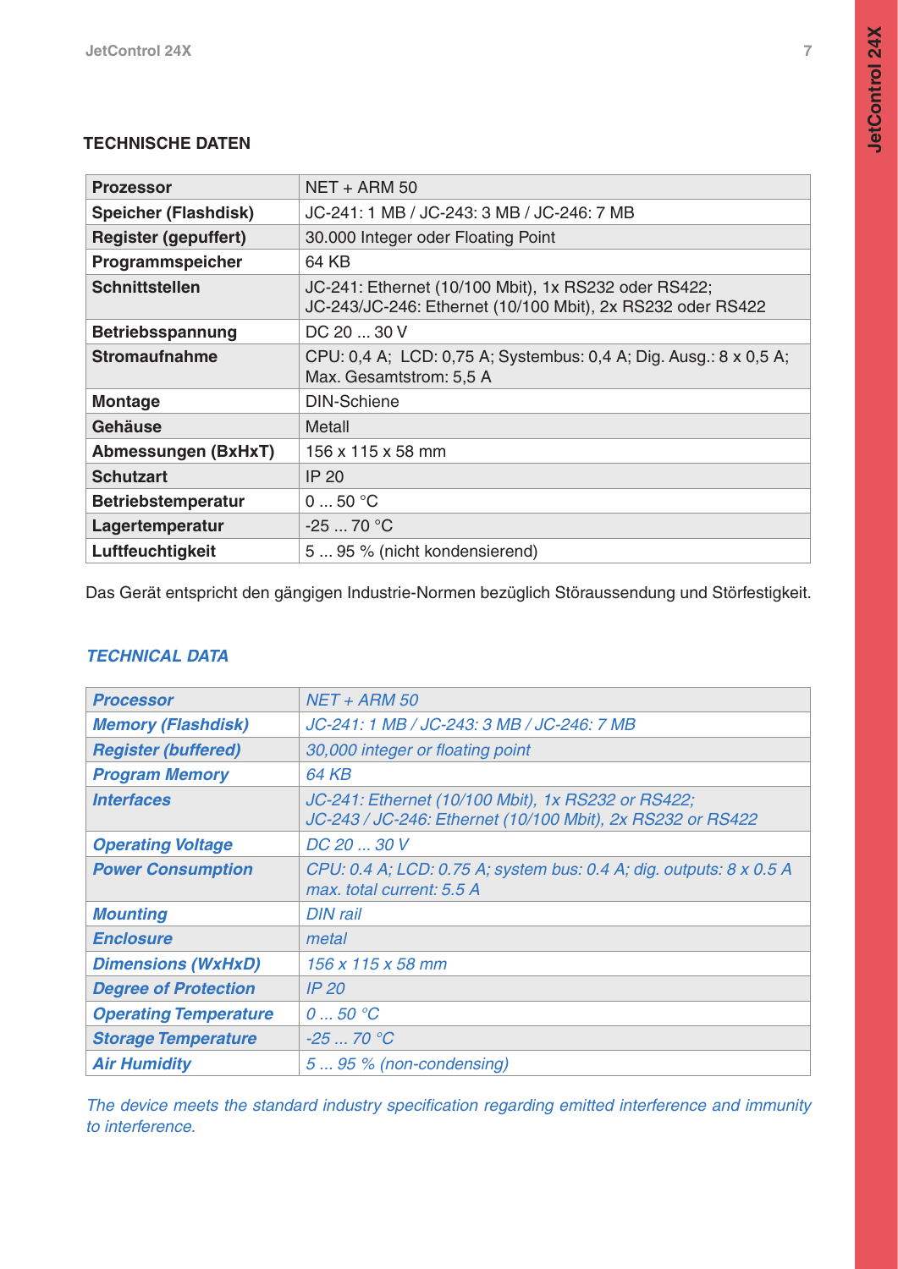# **Technische Daten**

| <b>Prozessor</b>            | NET + ARM 50                                                                                                       |
|-----------------------------|--------------------------------------------------------------------------------------------------------------------|
| <b>Speicher (Flashdisk)</b> | JC-241: 1 MB / JC-243: 3 MB / JC-246: 7 MB                                                                         |
| <b>Register (gepuffert)</b> | 30.000 Integer oder Floating Point                                                                                 |
| Programmspeicher            | 64 KB                                                                                                              |
| <b>Schnittstellen</b>       | JC-241: Ethernet (10/100 Mbit), 1x RS232 oder RS422;<br>JC-243/JC-246: Ethernet (10/100 Mbit), 2x RS232 oder RS422 |
| <b>Betriebsspannung</b>     | DC 20  30 V                                                                                                        |
| <b>Stromaufnahme</b>        | CPU: 0,4 A; LCD: 0,75 A; Systembus: 0,4 A; Dig. Ausg.: 8 x 0,5 A;<br>Max. Gesamtstrom: 5,5 A                       |
| <b>Montage</b>              | <b>DIN-Schiene</b>                                                                                                 |
| Gehäuse                     | <b>Metall</b>                                                                                                      |
| <b>Abmessungen (BxHxT)</b>  | 156 x 115 x 58 mm                                                                                                  |
| <b>Schutzart</b>            | <b>IP 20</b>                                                                                                       |
| <b>Betriebstemperatur</b>   | 050 °C                                                                                                             |
| Lagertemperatur             | $-2570 °C$                                                                                                         |
| Luftfeuchtigkeit            | 5  95 % (nicht kondensierend)                                                                                      |

Das Gerät entspricht den gängigen Industrie-Normen bezüglich Störaussendung und Störfestigkeit.

# *Technical Data*

| <b>Processor</b>             | <b>NET + ARM 50</b>                                                                                              |
|------------------------------|------------------------------------------------------------------------------------------------------------------|
| <b>Memory (Flashdisk)</b>    | JC-241: 1 MB / JC-243: 3 MB / JC-246: 7 MB                                                                       |
| <b>Register (buffered)</b>   | 30,000 integer or floating point                                                                                 |
| <b>Program Memory</b>        | <b>64 KB</b>                                                                                                     |
| <i><b>Interfaces</b></i>     | JC-241: Ethernet (10/100 Mbit), 1x RS232 or RS422;<br>JC-243 / JC-246: Ethernet (10/100 Mbit), 2x RS232 or RS422 |
| <b>Operating Voltage</b>     | DC 20  30 V                                                                                                      |
| <b>Power Consumption</b>     | CPU: 0.4 A; LCD: 0.75 A; system bus: 0.4 A; dig. outputs: 8 x 0.5 A<br>max, total current: 5.5 A                 |
| <b>Mounting</b>              | <b>DIN rail</b>                                                                                                  |
| <b>Enclosure</b>             | metal                                                                                                            |
| <b>Dimensions (WxHxD)</b>    | 156 x 115 x 58 mm                                                                                                |
| <b>Degree of Protection</b>  | IP20                                                                                                             |
| <b>Operating Temperature</b> | 050 °C                                                                                                           |
| <b>Storage Temperature</b>   | $-2570 °C$                                                                                                       |
| <b>Air Humidity</b>          | $595$ % (non-condensing)                                                                                         |

*The device meets the standard industry specification regarding emitted interference and immunity to interference.*